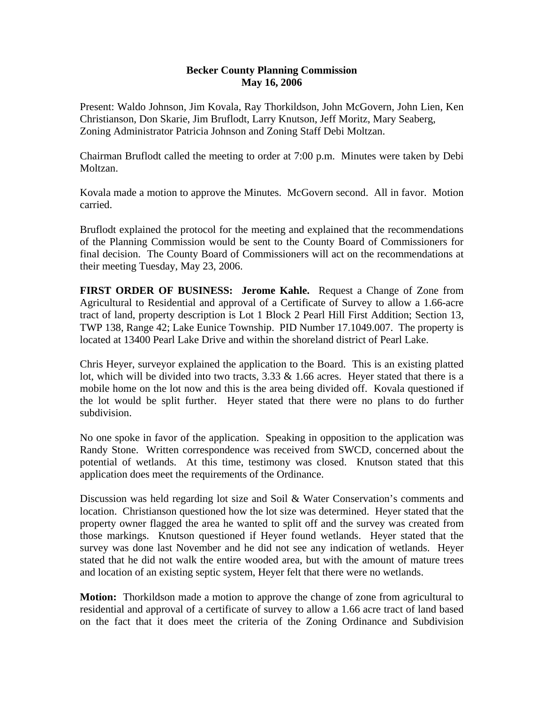## **Becker County Planning Commission May 16, 2006**

Present: Waldo Johnson, Jim Kovala, Ray Thorkildson, John McGovern, John Lien, Ken Christianson, Don Skarie, Jim Bruflodt, Larry Knutson, Jeff Moritz, Mary Seaberg, Zoning Administrator Patricia Johnson and Zoning Staff Debi Moltzan.

Chairman Bruflodt called the meeting to order at 7:00 p.m. Minutes were taken by Debi Moltzan.

Kovala made a motion to approve the Minutes. McGovern second. All in favor. Motion carried.

Bruflodt explained the protocol for the meeting and explained that the recommendations of the Planning Commission would be sent to the County Board of Commissioners for final decision. The County Board of Commissioners will act on the recommendations at their meeting Tuesday, May 23, 2006.

**FIRST ORDER OF BUSINESS: Jerome Kahle.** Request a Change of Zone from Agricultural to Residential and approval of a Certificate of Survey to allow a 1.66-acre tract of land, property description is Lot 1 Block 2 Pearl Hill First Addition; Section 13, TWP 138, Range 42; Lake Eunice Township. PID Number 17.1049.007. The property is located at 13400 Pearl Lake Drive and within the shoreland district of Pearl Lake.

Chris Heyer, surveyor explained the application to the Board. This is an existing platted lot, which will be divided into two tracts, 3.33 & 1.66 acres. Heyer stated that there is a mobile home on the lot now and this is the area being divided off. Kovala questioned if the lot would be split further. Heyer stated that there were no plans to do further subdivision.

No one spoke in favor of the application. Speaking in opposition to the application was Randy Stone. Written correspondence was received from SWCD, concerned about the potential of wetlands. At this time, testimony was closed. Knutson stated that this application does meet the requirements of the Ordinance.

Discussion was held regarding lot size and Soil & Water Conservation's comments and location. Christianson questioned how the lot size was determined. Heyer stated that the property owner flagged the area he wanted to split off and the survey was created from those markings. Knutson questioned if Heyer found wetlands. Heyer stated that the survey was done last November and he did not see any indication of wetlands. Heyer stated that he did not walk the entire wooded area, but with the amount of mature trees and location of an existing septic system, Heyer felt that there were no wetlands.

**Motion:** Thorkildson made a motion to approve the change of zone from agricultural to residential and approval of a certificate of survey to allow a 1.66 acre tract of land based on the fact that it does meet the criteria of the Zoning Ordinance and Subdivision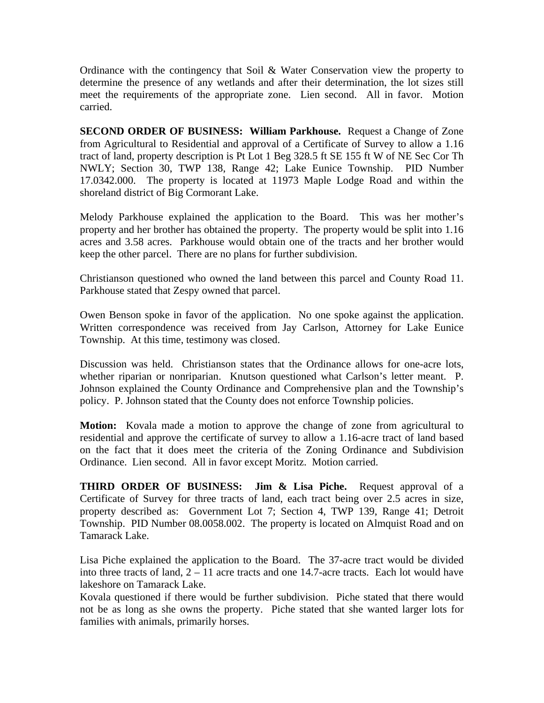Ordinance with the contingency that Soil & Water Conservation view the property to determine the presence of any wetlands and after their determination, the lot sizes still meet the requirements of the appropriate zone. Lien second. All in favor. Motion carried.

**SECOND ORDER OF BUSINESS: William Parkhouse.** Request a Change of Zone from Agricultural to Residential and approval of a Certificate of Survey to allow a 1.16 tract of land, property description is Pt Lot 1 Beg 328.5 ft SE 155 ft W of NE Sec Cor Th NWLY; Section 30, TWP 138, Range 42; Lake Eunice Township. PID Number 17.0342.000. The property is located at 11973 Maple Lodge Road and within the shoreland district of Big Cormorant Lake.

Melody Parkhouse explained the application to the Board. This was her mother's property and her brother has obtained the property. The property would be split into 1.16 acres and 3.58 acres. Parkhouse would obtain one of the tracts and her brother would keep the other parcel. There are no plans for further subdivision.

Christianson questioned who owned the land between this parcel and County Road 11. Parkhouse stated that Zespy owned that parcel.

Owen Benson spoke in favor of the application. No one spoke against the application. Written correspondence was received from Jay Carlson, Attorney for Lake Eunice Township. At this time, testimony was closed.

Discussion was held. Christianson states that the Ordinance allows for one-acre lots, whether riparian or nonriparian. Knutson questioned what Carlson's letter meant. P. Johnson explained the County Ordinance and Comprehensive plan and the Township's policy. P. Johnson stated that the County does not enforce Township policies.

**Motion:** Kovala made a motion to approve the change of zone from agricultural to residential and approve the certificate of survey to allow a 1.16-acre tract of land based on the fact that it does meet the criteria of the Zoning Ordinance and Subdivision Ordinance. Lien second. All in favor except Moritz. Motion carried.

**THIRD ORDER OF BUSINESS: Jim & Lisa Piche.** Request approval of a Certificate of Survey for three tracts of land, each tract being over 2.5 acres in size, property described as: Government Lot 7; Section 4, TWP 139, Range 41; Detroit Township. PID Number 08.0058.002. The property is located on Almquist Road and on Tamarack Lake.

Lisa Piche explained the application to the Board. The 37-acre tract would be divided into three tracts of land,  $2 - 11$  acre tracts and one 14.7-acre tracts. Each lot would have lakeshore on Tamarack Lake.

Kovala questioned if there would be further subdivision. Piche stated that there would not be as long as she owns the property. Piche stated that she wanted larger lots for families with animals, primarily horses.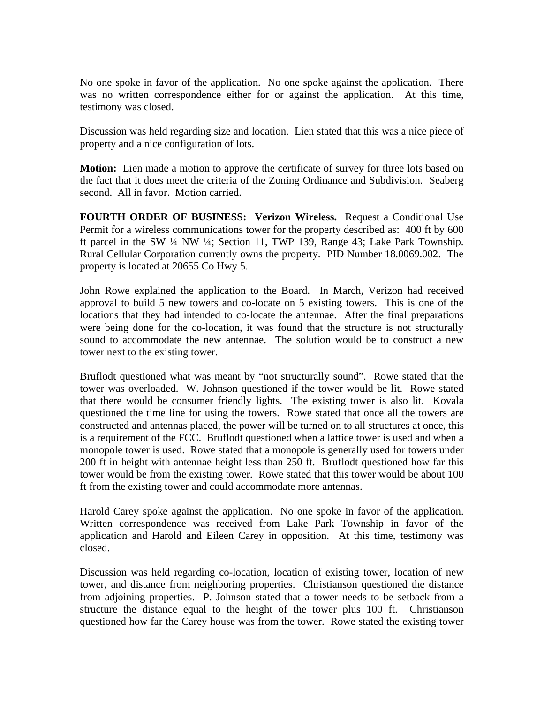No one spoke in favor of the application. No one spoke against the application. There was no written correspondence either for or against the application. At this time, testimony was closed.

Discussion was held regarding size and location. Lien stated that this was a nice piece of property and a nice configuration of lots.

**Motion:** Lien made a motion to approve the certificate of survey for three lots based on the fact that it does meet the criteria of the Zoning Ordinance and Subdivision. Seaberg second. All in favor. Motion carried.

**FOURTH ORDER OF BUSINESS: Verizon Wireless.** Request a Conditional Use Permit for a wireless communications tower for the property described as: 400 ft by 600 ft parcel in the SW ¼ NW ¼; Section 11, TWP 139, Range 43; Lake Park Township. Rural Cellular Corporation currently owns the property. PID Number 18.0069.002. The property is located at 20655 Co Hwy 5.

John Rowe explained the application to the Board. In March, Verizon had received approval to build 5 new towers and co-locate on 5 existing towers. This is one of the locations that they had intended to co-locate the antennae. After the final preparations were being done for the co-location, it was found that the structure is not structurally sound to accommodate the new antennae. The solution would be to construct a new tower next to the existing tower.

Bruflodt questioned what was meant by "not structurally sound". Rowe stated that the tower was overloaded. W. Johnson questioned if the tower would be lit. Rowe stated that there would be consumer friendly lights. The existing tower is also lit. Kovala questioned the time line for using the towers. Rowe stated that once all the towers are constructed and antennas placed, the power will be turned on to all structures at once, this is a requirement of the FCC. Bruflodt questioned when a lattice tower is used and when a monopole tower is used. Rowe stated that a monopole is generally used for towers under 200 ft in height with antennae height less than 250 ft. Bruflodt questioned how far this tower would be from the existing tower. Rowe stated that this tower would be about 100 ft from the existing tower and could accommodate more antennas.

Harold Carey spoke against the application. No one spoke in favor of the application. Written correspondence was received from Lake Park Township in favor of the application and Harold and Eileen Carey in opposition. At this time, testimony was closed.

Discussion was held regarding co-location, location of existing tower, location of new tower, and distance from neighboring properties. Christianson questioned the distance from adjoining properties. P. Johnson stated that a tower needs to be setback from a structure the distance equal to the height of the tower plus 100 ft. Christianson questioned how far the Carey house was from the tower. Rowe stated the existing tower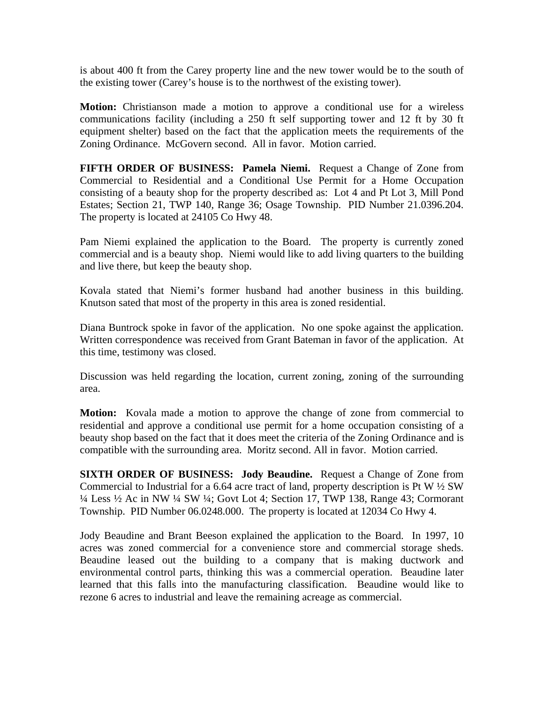is about 400 ft from the Carey property line and the new tower would be to the south of the existing tower (Carey's house is to the northwest of the existing tower).

**Motion:** Christianson made a motion to approve a conditional use for a wireless communications facility (including a 250 ft self supporting tower and 12 ft by 30 ft equipment shelter) based on the fact that the application meets the requirements of the Zoning Ordinance. McGovern second. All in favor. Motion carried.

**FIFTH ORDER OF BUSINESS: Pamela Niemi.** Request a Change of Zone from Commercial to Residential and a Conditional Use Permit for a Home Occupation consisting of a beauty shop for the property described as: Lot 4 and Pt Lot 3, Mill Pond Estates; Section 21, TWP 140, Range 36; Osage Township. PID Number 21.0396.204. The property is located at 24105 Co Hwy 48.

Pam Niemi explained the application to the Board. The property is currently zoned commercial and is a beauty shop. Niemi would like to add living quarters to the building and live there, but keep the beauty shop.

Kovala stated that Niemi's former husband had another business in this building. Knutson sated that most of the property in this area is zoned residential.

Diana Buntrock spoke in favor of the application. No one spoke against the application. Written correspondence was received from Grant Bateman in favor of the application. At this time, testimony was closed.

Discussion was held regarding the location, current zoning, zoning of the surrounding area.

**Motion:** Kovala made a motion to approve the change of zone from commercial to residential and approve a conditional use permit for a home occupation consisting of a beauty shop based on the fact that it does meet the criteria of the Zoning Ordinance and is compatible with the surrounding area. Moritz second. All in favor. Motion carried.

**SIXTH ORDER OF BUSINESS: Jody Beaudine.** Request a Change of Zone from Commercial to Industrial for a 6.64 acre tract of land, property description is Pt W  $\frac{1}{2}$  SW ¼ Less ½ Ac in NW ¼ SW ¼; Govt Lot 4; Section 17, TWP 138, Range 43; Cormorant Township. PID Number 06.0248.000. The property is located at 12034 Co Hwy 4.

Jody Beaudine and Brant Beeson explained the application to the Board. In 1997, 10 acres was zoned commercial for a convenience store and commercial storage sheds. Beaudine leased out the building to a company that is making ductwork and environmental control parts, thinking this was a commercial operation. Beaudine later learned that this falls into the manufacturing classification. Beaudine would like to rezone 6 acres to industrial and leave the remaining acreage as commercial.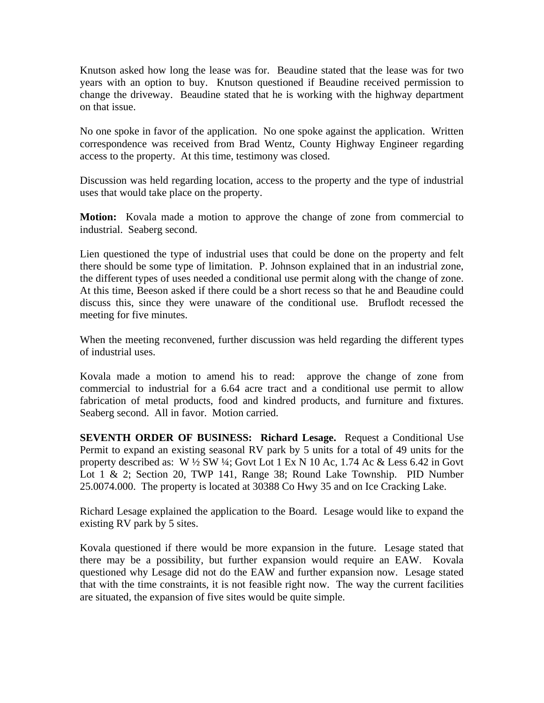Knutson asked how long the lease was for. Beaudine stated that the lease was for two years with an option to buy. Knutson questioned if Beaudine received permission to change the driveway. Beaudine stated that he is working with the highway department on that issue.

No one spoke in favor of the application. No one spoke against the application. Written correspondence was received from Brad Wentz, County Highway Engineer regarding access to the property. At this time, testimony was closed.

Discussion was held regarding location, access to the property and the type of industrial uses that would take place on the property.

**Motion:** Kovala made a motion to approve the change of zone from commercial to industrial. Seaberg second.

Lien questioned the type of industrial uses that could be done on the property and felt there should be some type of limitation. P. Johnson explained that in an industrial zone, the different types of uses needed a conditional use permit along with the change of zone. At this time, Beeson asked if there could be a short recess so that he and Beaudine could discuss this, since they were unaware of the conditional use. Bruflodt recessed the meeting for five minutes.

When the meeting reconvened, further discussion was held regarding the different types of industrial uses.

Kovala made a motion to amend his to read: approve the change of zone from commercial to industrial for a 6.64 acre tract and a conditional use permit to allow fabrication of metal products, food and kindred products, and furniture and fixtures. Seaberg second. All in favor. Motion carried.

**SEVENTH ORDER OF BUSINESS: Richard Lesage.** Request a Conditional Use Permit to expand an existing seasonal RV park by 5 units for a total of 49 units for the property described as: W ½ SW ¼; Govt Lot 1 Ex N 10 Ac, 1.74 Ac & Less 6.42 in Govt Lot 1 & 2; Section 20, TWP 141, Range 38; Round Lake Township. PID Number 25.0074.000. The property is located at 30388 Co Hwy 35 and on Ice Cracking Lake.

Richard Lesage explained the application to the Board. Lesage would like to expand the existing RV park by 5 sites.

Kovala questioned if there would be more expansion in the future. Lesage stated that there may be a possibility, but further expansion would require an EAW. Kovala questioned why Lesage did not do the EAW and further expansion now. Lesage stated that with the time constraints, it is not feasible right now. The way the current facilities are situated, the expansion of five sites would be quite simple.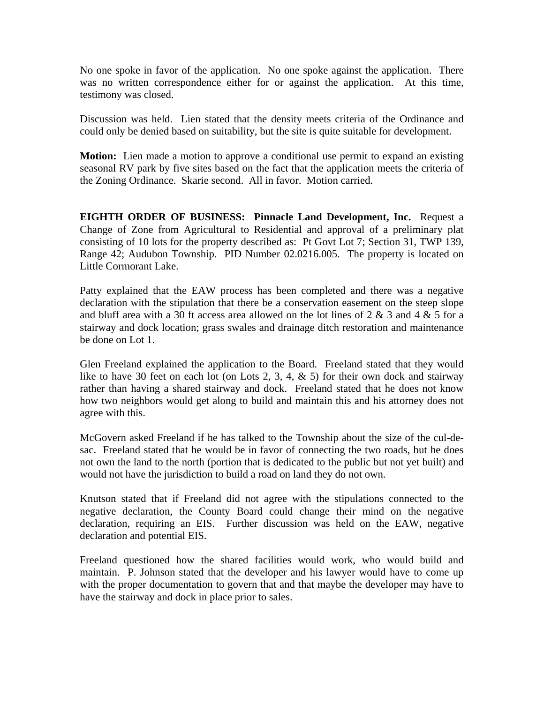No one spoke in favor of the application. No one spoke against the application. There was no written correspondence either for or against the application. At this time, testimony was closed.

Discussion was held. Lien stated that the density meets criteria of the Ordinance and could only be denied based on suitability, but the site is quite suitable for development.

**Motion:** Lien made a motion to approve a conditional use permit to expand an existing seasonal RV park by five sites based on the fact that the application meets the criteria of the Zoning Ordinance. Skarie second. All in favor. Motion carried.

**EIGHTH ORDER OF BUSINESS: Pinnacle Land Development, Inc.** Request a Change of Zone from Agricultural to Residential and approval of a preliminary plat consisting of 10 lots for the property described as: Pt Govt Lot 7; Section 31, TWP 139, Range 42; Audubon Township. PID Number 02.0216.005. The property is located on Little Cormorant Lake.

Patty explained that the EAW process has been completed and there was a negative declaration with the stipulation that there be a conservation easement on the steep slope and bluff area with a 30 ft access area allowed on the lot lines of 2 & 3 and 4 & 5 for a stairway and dock location; grass swales and drainage ditch restoration and maintenance be done on Lot 1.

Glen Freeland explained the application to the Board. Freeland stated that they would like to have 30 feet on each lot (on Lots 2, 3, 4,  $\&$  5) for their own dock and stairway rather than having a shared stairway and dock. Freeland stated that he does not know how two neighbors would get along to build and maintain this and his attorney does not agree with this.

McGovern asked Freeland if he has talked to the Township about the size of the cul-desac. Freeland stated that he would be in favor of connecting the two roads, but he does not own the land to the north (portion that is dedicated to the public but not yet built) and would not have the jurisdiction to build a road on land they do not own.

Knutson stated that if Freeland did not agree with the stipulations connected to the negative declaration, the County Board could change their mind on the negative declaration, requiring an EIS. Further discussion was held on the EAW, negative declaration and potential EIS.

Freeland questioned how the shared facilities would work, who would build and maintain. P. Johnson stated that the developer and his lawyer would have to come up with the proper documentation to govern that and that maybe the developer may have to have the stairway and dock in place prior to sales.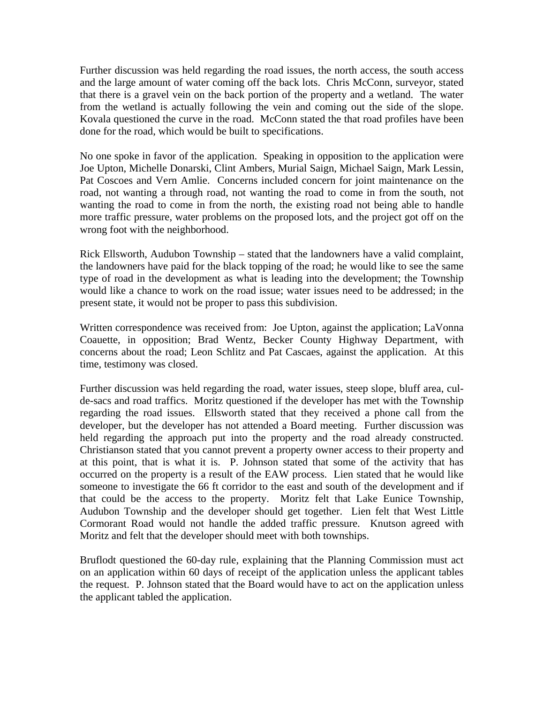Further discussion was held regarding the road issues, the north access, the south access and the large amount of water coming off the back lots. Chris McConn, surveyor, stated that there is a gravel vein on the back portion of the property and a wetland. The water from the wetland is actually following the vein and coming out the side of the slope. Kovala questioned the curve in the road. McConn stated the that road profiles have been done for the road, which would be built to specifications.

No one spoke in favor of the application. Speaking in opposition to the application were Joe Upton, Michelle Donarski, Clint Ambers, Murial Saign, Michael Saign, Mark Lessin, Pat Coscoes and Vern Amlie. Concerns included concern for joint maintenance on the road, not wanting a through road, not wanting the road to come in from the south, not wanting the road to come in from the north, the existing road not being able to handle more traffic pressure, water problems on the proposed lots, and the project got off on the wrong foot with the neighborhood.

Rick Ellsworth, Audubon Township – stated that the landowners have a valid complaint, the landowners have paid for the black topping of the road; he would like to see the same type of road in the development as what is leading into the development; the Township would like a chance to work on the road issue; water issues need to be addressed; in the present state, it would not be proper to pass this subdivision.

Written correspondence was received from: Joe Upton, against the application; LaVonna Coauette, in opposition; Brad Wentz, Becker County Highway Department, with concerns about the road; Leon Schlitz and Pat Cascaes, against the application. At this time, testimony was closed.

Further discussion was held regarding the road, water issues, steep slope, bluff area, culde-sacs and road traffics. Moritz questioned if the developer has met with the Township regarding the road issues. Ellsworth stated that they received a phone call from the developer, but the developer has not attended a Board meeting. Further discussion was held regarding the approach put into the property and the road already constructed. Christianson stated that you cannot prevent a property owner access to their property and at this point, that is what it is. P. Johnson stated that some of the activity that has occurred on the property is a result of the EAW process. Lien stated that he would like someone to investigate the 66 ft corridor to the east and south of the development and if that could be the access to the property. Moritz felt that Lake Eunice Township, Audubon Township and the developer should get together. Lien felt that West Little Cormorant Road would not handle the added traffic pressure. Knutson agreed with Moritz and felt that the developer should meet with both townships.

Bruflodt questioned the 60-day rule, explaining that the Planning Commission must act on an application within 60 days of receipt of the application unless the applicant tables the request. P. Johnson stated that the Board would have to act on the application unless the applicant tabled the application.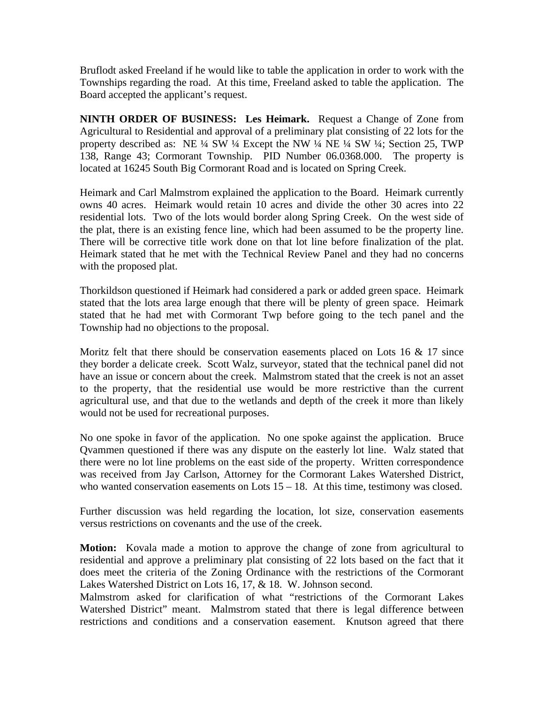Bruflodt asked Freeland if he would like to table the application in order to work with the Townships regarding the road. At this time, Freeland asked to table the application. The Board accepted the applicant's request.

**NINTH ORDER OF BUSINESS: Les Heimark.** Request a Change of Zone from Agricultural to Residential and approval of a preliminary plat consisting of 22 lots for the property described as: NE ¼ SW ¼ Except the NW ¼ NE ¼ SW ¼; Section 25, TWP 138, Range 43; Cormorant Township. PID Number 06.0368.000. The property is located at 16245 South Big Cormorant Road and is located on Spring Creek.

Heimark and Carl Malmstrom explained the application to the Board. Heimark currently owns 40 acres. Heimark would retain 10 acres and divide the other 30 acres into 22 residential lots. Two of the lots would border along Spring Creek. On the west side of the plat, there is an existing fence line, which had been assumed to be the property line. There will be corrective title work done on that lot line before finalization of the plat. Heimark stated that he met with the Technical Review Panel and they had no concerns with the proposed plat.

Thorkildson questioned if Heimark had considered a park or added green space. Heimark stated that the lots area large enough that there will be plenty of green space. Heimark stated that he had met with Cormorant Twp before going to the tech panel and the Township had no objections to the proposal.

Moritz felt that there should be conservation easements placed on Lots 16  $\&$  17 since they border a delicate creek. Scott Walz, surveyor, stated that the technical panel did not have an issue or concern about the creek. Malmstrom stated that the creek is not an asset to the property, that the residential use would be more restrictive than the current agricultural use, and that due to the wetlands and depth of the creek it more than likely would not be used for recreational purposes.

No one spoke in favor of the application. No one spoke against the application. Bruce Qvammen questioned if there was any dispute on the easterly lot line. Walz stated that there were no lot line problems on the east side of the property. Written correspondence was received from Jay Carlson, Attorney for the Cormorant Lakes Watershed District, who wanted conservation easements on Lots  $15 - 18$ . At this time, testimony was closed.

Further discussion was held regarding the location, lot size, conservation easements versus restrictions on covenants and the use of the creek.

**Motion:** Kovala made a motion to approve the change of zone from agricultural to residential and approve a preliminary plat consisting of 22 lots based on the fact that it does meet the criteria of the Zoning Ordinance with the restrictions of the Cormorant Lakes Watershed District on Lots 16, 17, & 18. W. Johnson second.

Malmstrom asked for clarification of what "restrictions of the Cormorant Lakes Watershed District" meant. Malmstrom stated that there is legal difference between restrictions and conditions and a conservation easement. Knutson agreed that there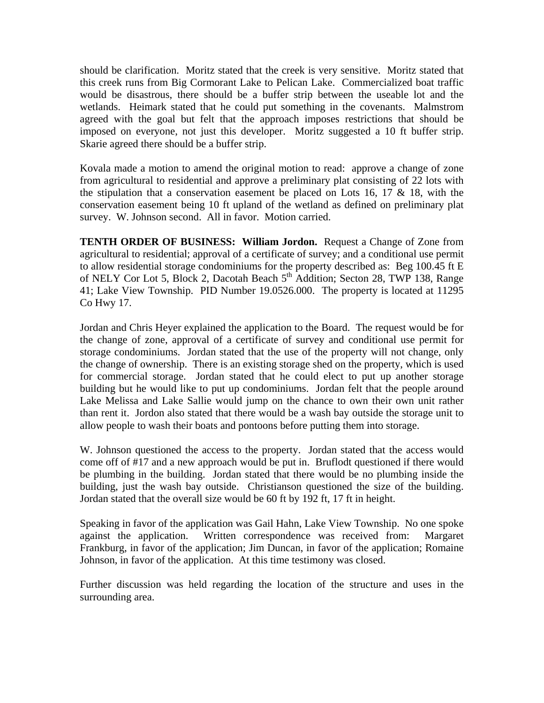should be clarification. Moritz stated that the creek is very sensitive. Moritz stated that this creek runs from Big Cormorant Lake to Pelican Lake. Commercialized boat traffic would be disastrous, there should be a buffer strip between the useable lot and the wetlands. Heimark stated that he could put something in the covenants. Malmstrom agreed with the goal but felt that the approach imposes restrictions that should be imposed on everyone, not just this developer. Moritz suggested a 10 ft buffer strip. Skarie agreed there should be a buffer strip.

Kovala made a motion to amend the original motion to read: approve a change of zone from agricultural to residential and approve a preliminary plat consisting of 22 lots with the stipulation that a conservation easement be placed on Lots 16, 17  $\&$  18, with the conservation easement being 10 ft upland of the wetland as defined on preliminary plat survey. W. Johnson second. All in favor. Motion carried.

**TENTH ORDER OF BUSINESS: William Jordon.** Request a Change of Zone from agricultural to residential; approval of a certificate of survey; and a conditional use permit to allow residential storage condominiums for the property described as: Beg 100.45 ft E of NELY Cor Lot 5, Block 2, Dacotah Beach 5<sup>th</sup> Addition; Secton 28, TWP 138, Range 41; Lake View Township. PID Number 19.0526.000. The property is located at 11295 Co Hwy 17.

Jordan and Chris Heyer explained the application to the Board. The request would be for the change of zone, approval of a certificate of survey and conditional use permit for storage condominiums. Jordan stated that the use of the property will not change, only the change of ownership. There is an existing storage shed on the property, which is used for commercial storage. Jordan stated that he could elect to put up another storage building but he would like to put up condominiums. Jordan felt that the people around Lake Melissa and Lake Sallie would jump on the chance to own their own unit rather than rent it. Jordon also stated that there would be a wash bay outside the storage unit to allow people to wash their boats and pontoons before putting them into storage.

W. Johnson questioned the access to the property. Jordan stated that the access would come off of #17 and a new approach would be put in. Bruflodt questioned if there would be plumbing in the building. Jordan stated that there would be no plumbing inside the building, just the wash bay outside. Christianson questioned the size of the building. Jordan stated that the overall size would be 60 ft by 192 ft, 17 ft in height.

Speaking in favor of the application was Gail Hahn, Lake View Township. No one spoke against the application. Written correspondence was received from: Margaret Frankburg, in favor of the application; Jim Duncan, in favor of the application; Romaine Johnson, in favor of the application. At this time testimony was closed.

Further discussion was held regarding the location of the structure and uses in the surrounding area.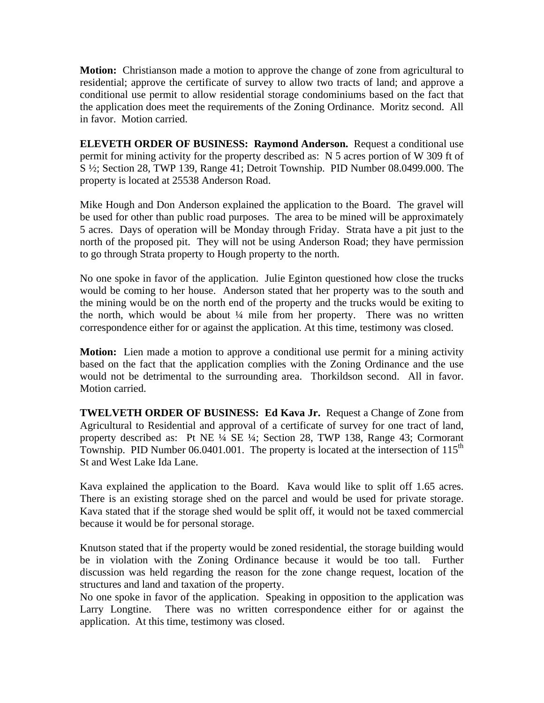**Motion:** Christianson made a motion to approve the change of zone from agricultural to residential; approve the certificate of survey to allow two tracts of land; and approve a conditional use permit to allow residential storage condominiums based on the fact that the application does meet the requirements of the Zoning Ordinance. Moritz second. All in favor. Motion carried.

**ELEVETH ORDER OF BUSINESS: Raymond Anderson.** Request a conditional use permit for mining activity for the property described as: N 5 acres portion of W 309 ft of S ½; Section 28, TWP 139, Range 41; Detroit Township. PID Number 08.0499.000. The property is located at 25538 Anderson Road.

Mike Hough and Don Anderson explained the application to the Board. The gravel will be used for other than public road purposes. The area to be mined will be approximately 5 acres. Days of operation will be Monday through Friday. Strata have a pit just to the north of the proposed pit. They will not be using Anderson Road; they have permission to go through Strata property to Hough property to the north.

No one spoke in favor of the application. Julie Eginton questioned how close the trucks would be coming to her house. Anderson stated that her property was to the south and the mining would be on the north end of the property and the trucks would be exiting to the north, which would be about ¼ mile from her property. There was no written correspondence either for or against the application. At this time, testimony was closed.

**Motion:** Lien made a motion to approve a conditional use permit for a mining activity based on the fact that the application complies with the Zoning Ordinance and the use would not be detrimental to the surrounding area. Thorkildson second. All in favor. Motion carried.

**TWELVETH ORDER OF BUSINESS: Ed Kava Jr.** Request a Change of Zone from Agricultural to Residential and approval of a certificate of survey for one tract of land, property described as: Pt NE ¼ SE ¼; Section 28, TWP 138, Range 43; Cormorant Township. PID Number 06.0401.001. The property is located at the intersection of  $115<sup>th</sup>$ St and West Lake Ida Lane.

Kava explained the application to the Board. Kava would like to split off 1.65 acres. There is an existing storage shed on the parcel and would be used for private storage. Kava stated that if the storage shed would be split off, it would not be taxed commercial because it would be for personal storage.

Knutson stated that if the property would be zoned residential, the storage building would be in violation with the Zoning Ordinance because it would be too tall. Further discussion was held regarding the reason for the zone change request, location of the structures and land and taxation of the property.

No one spoke in favor of the application. Speaking in opposition to the application was Larry Longtine. There was no written correspondence either for or against the application. At this time, testimony was closed.